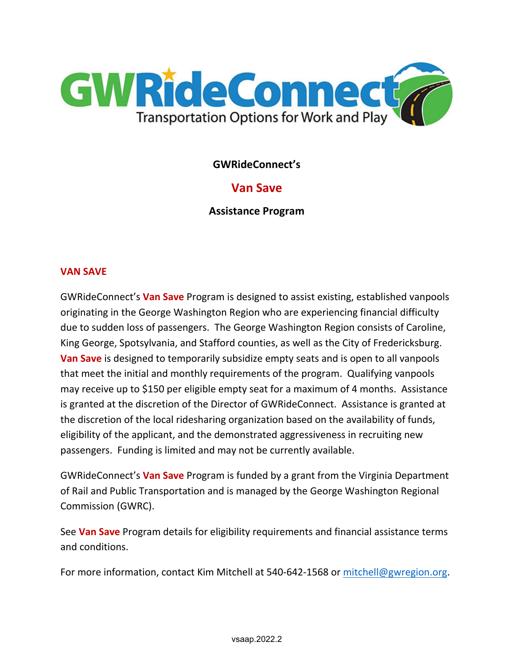

## **GWRideConnect's**

# **Van Save**

## **Assistance Program**

## **VAN SAVE**

GWRideConnect's **Van Save** Program is designed to assist existing, established vanpools originating in the George Washington Region who are experiencing financial difficulty due to sudden loss of passengers. The George Washington Region consists of Caroline, King George, Spotsylvania, and Stafford counties, as well as the City of Fredericksburg. **Van Save** is designed to temporarily subsidize empty seats and is open to all vanpools that meet the initial and monthly requirements of the program. Qualifying vanpools may receive up to \$150 per eligible empty seat for a maximum of 4 months. Assistance is granted at the discretion of the Director of GWRideConnect. Assistance is granted at the discretion of the local ridesharing organization based on the availability of funds, eligibility of the applicant, and the demonstrated aggressiveness in recruiting new passengers. Funding is limited and may not be currently available.

GWRideConnect's **Van Save** Program is funded by a grant from the Virginia Department of Rail and Public Transportation and is managed by the George Washington Regional Commission (GWRC).

See **Van Save** Program details for eligibility requirements and financial assistance terms and conditions.

For more information, contact Kim Mitchell at 540-642-1568 or mitchell@gwregion.org.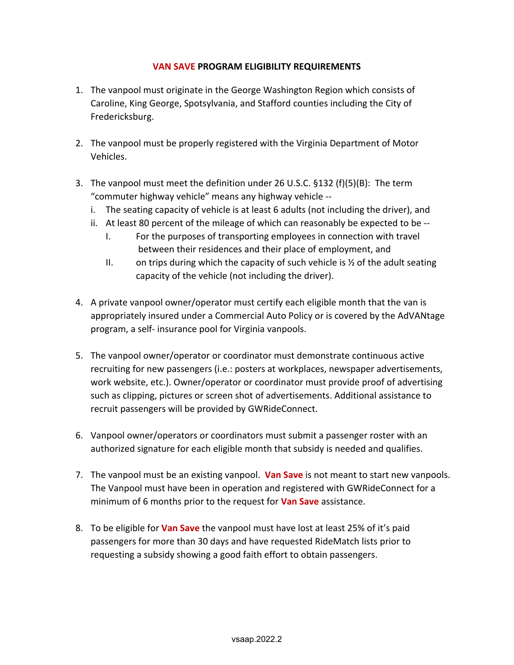## **VAN SAVE PROGRAM ELIGIBILITY REQUIREMENTS**

- 1. The vanpool must originate in the George Washington Region which consists of Caroline, King George, Spotsylvania, and Stafford counties including the City of Fredericksburg.
- 2. The vanpool must be properly registered with the Virginia Department of Motor Vehicles.
- 3. The vanpool must meet the definition under 26 U.S.C. §132 (f)(5)(B): The term "commuter highway vehicle" means any highway vehicle -
	- i. The seating capacity of vehicle is at least 6 adults (not including the driver), and
	- ii. At least 80 percent of the mileage of which can reasonably be expected to be --
		- I. For the purposes of transporting employees in connection with travel between their residences and their place of employment, and
		- II. on trips during which the capacity of such vehicle is  $\frac{1}{2}$  of the adult seating capacity of the vehicle (not including the driver).
- 4. A private vanpool owner/operator must certify each eligible month that the van is appropriately insured under a Commercial Auto Policy or is covered by the AdVANtage program, a self‐ insurance pool for Virginia vanpools.
- 5. The vanpool owner/operator or coordinator must demonstrate continuous active recruiting for new passengers (i.e.: posters at workplaces, newspaper advertisements, work website, etc.). Owner/operator or coordinator must provide proof of advertising such as clipping, pictures or screen shot of advertisements. Additional assistance to recruit passengers will be provided by GWRideConnect.
- 6. Vanpool owner/operators or coordinators must submit a passenger roster with an authorized signature for each eligible month that subsidy is needed and qualifies.
- 7. The vanpool must be an existing vanpool. **Van Save** is not meant to start new vanpools. The Vanpool must have been in operation and registered with GWRideConnect for a minimum of 6 months prior to the request for **Van Save** assistance.
- 8. To be eligible for **Van Save** the vanpool must have lost at least 25% of it's paid passengers for more than 30 days and have requested RideMatch lists prior to requesting a subsidy showing a good faith effort to obtain passengers.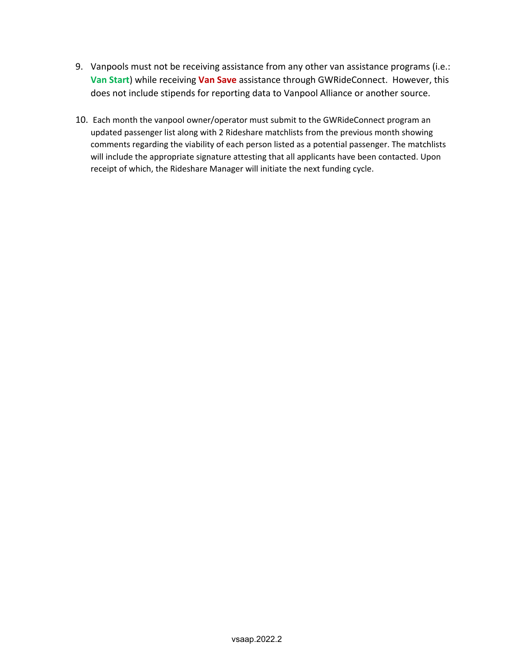- 9. Vanpools must not be receiving assistance from any other van assistance programs (i.e.: **Van Start**) while receiving **Van Save** assistance through GWRideConnect. However, this does not include stipends for reporting data to Vanpool Alliance or another source.
- 10. Each month the vanpool owner/operator must submit to the GWRideConnect program an updated passenger list along with 2 Rideshare matchlists from the previous month showing comments regarding the viability of each person listed as a potential passenger. The matchlists will include the appropriate signature attesting that all applicants have been contacted. Upon receipt of which, the Rideshare Manager will initiate the next funding cycle.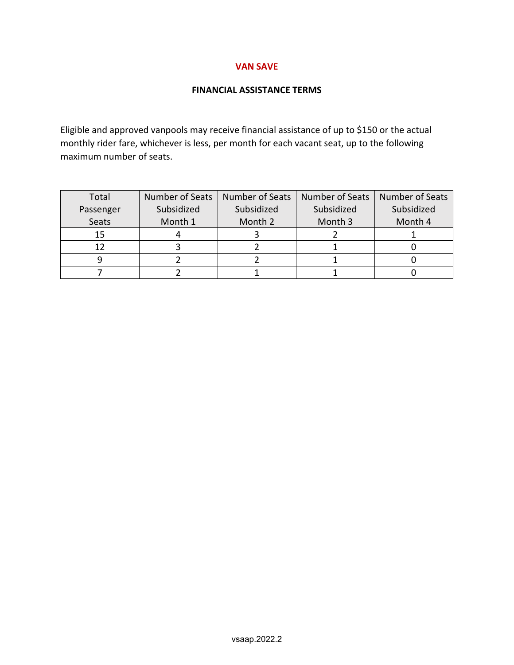### **VAN SAVE**

## **FINANCIAL ASSISTANCE TERMS**

Eligible and approved vanpools may receive financial assistance of up to \$150 or the actual monthly rider fare, whichever is less, per month for each vacant seat, up to the following maximum number of seats.

| Total     | Number of Seats | <b>Number of Seats</b> | Number of Seats | <b>Number of Seats</b> |
|-----------|-----------------|------------------------|-----------------|------------------------|
| Passenger | Subsidized      | Subsidized             | Subsidized      | Subsidized             |
| Seats     | Month 1         | Month 2                | Month 3         | Month 4                |
| 15        |                 |                        |                 |                        |
| 12        |                 |                        |                 |                        |
|           |                 |                        |                 |                        |
|           |                 |                        |                 |                        |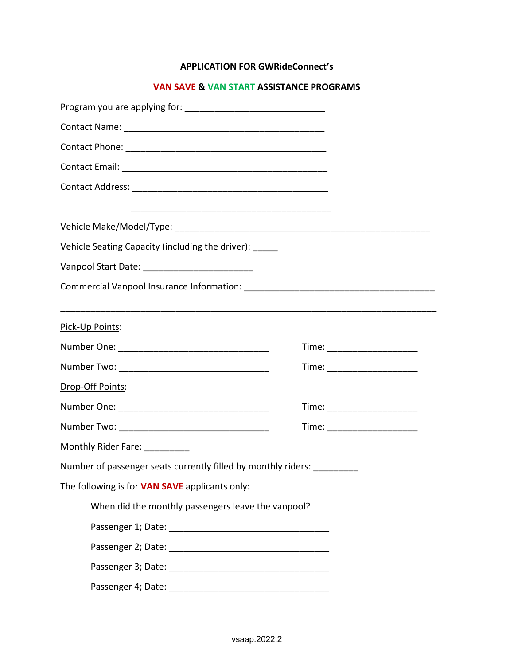## **APPLICATION FOR GWRideConnect's**

## **VAN SAVE & VAN START ASSISTANCE PROGRAMS**

| <u> 1989 - Johann John Harry Harry Harry Harry Harry Harry Harry Harry Harry Harry Harry Harry Harry Harry Harry</u> |                                                                         |  |  |  |
|----------------------------------------------------------------------------------------------------------------------|-------------------------------------------------------------------------|--|--|--|
|                                                                                                                      |                                                                         |  |  |  |
| Vehicle Seating Capacity (including the driver): _____                                                               |                                                                         |  |  |  |
|                                                                                                                      |                                                                         |  |  |  |
|                                                                                                                      |                                                                         |  |  |  |
|                                                                                                                      |                                                                         |  |  |  |
|                                                                                                                      |                                                                         |  |  |  |
| Time: _______________________                                                                                        |                                                                         |  |  |  |
|                                                                                                                      | Time: _______________________                                           |  |  |  |
|                                                                                                                      |                                                                         |  |  |  |
|                                                                                                                      | Time: _______________________                                           |  |  |  |
|                                                                                                                      | Time: _______________________                                           |  |  |  |
|                                                                                                                      |                                                                         |  |  |  |
|                                                                                                                      |                                                                         |  |  |  |
|                                                                                                                      |                                                                         |  |  |  |
| When did the monthly passengers leave the vanpool?                                                                   |                                                                         |  |  |  |
|                                                                                                                      |                                                                         |  |  |  |
|                                                                                                                      |                                                                         |  |  |  |
|                                                                                                                      |                                                                         |  |  |  |
|                                                                                                                      |                                                                         |  |  |  |
|                                                                                                                      | Number of passenger seats currently filled by monthly riders: _________ |  |  |  |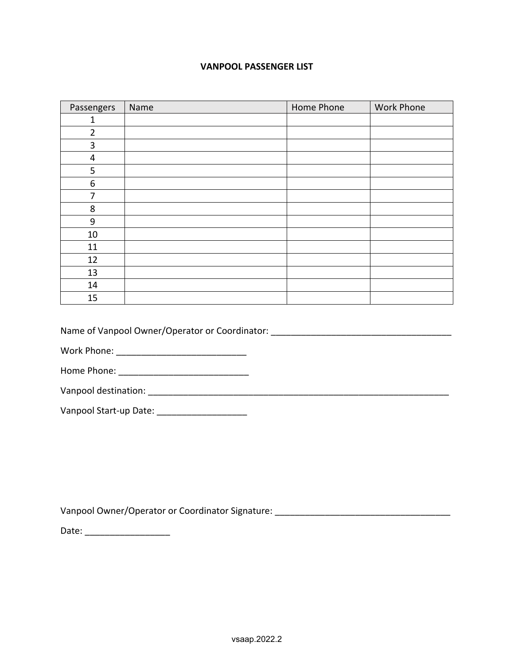## **VANPOOL PASSENGER LIST**

| Passengers     | Name | Home Phone | <b>Work Phone</b> |
|----------------|------|------------|-------------------|
| 1              |      |            |                   |
| $\overline{2}$ |      |            |                   |
| 3              |      |            |                   |
| 4              |      |            |                   |
| 5              |      |            |                   |
| 6              |      |            |                   |
| 7              |      |            |                   |
| 8              |      |            |                   |
| 9              |      |            |                   |
| $10\,$         |      |            |                   |
| 11             |      |            |                   |
| 12             |      |            |                   |
| 13             |      |            |                   |
| 14             |      |            |                   |
| 15             |      |            |                   |

Name of Vanpool Owner/Operator or Coordinator: \_\_\_\_\_\_\_\_\_\_\_\_\_\_\_\_\_\_\_\_\_\_\_\_\_\_\_\_\_\_\_\_\_\_

Work Phone: \_\_\_\_\_\_\_\_\_\_\_\_\_\_\_\_\_\_\_\_\_\_\_\_\_\_

Home Phone: \_\_\_\_\_\_\_\_\_\_\_\_\_\_\_\_\_\_\_\_\_\_\_\_\_\_

Vanpool destination: \_\_\_\_\_\_\_\_\_\_\_\_\_\_\_\_\_\_\_\_\_\_\_\_\_\_\_\_\_\_\_\_\_\_\_\_\_\_\_\_\_\_\_\_\_\_\_\_\_\_\_\_\_\_\_\_\_\_\_\_

Vanpool Start‐up Date: \_\_\_\_\_\_\_\_\_\_\_\_\_\_\_\_\_\_

Vanpool Owner/Operator or Coordinator Signature: \_\_\_\_\_\_\_\_\_\_\_\_\_\_\_\_\_\_\_\_\_\_\_\_\_\_\_\_\_\_\_

Date: \_\_\_\_\_\_\_\_\_\_\_\_\_\_\_\_\_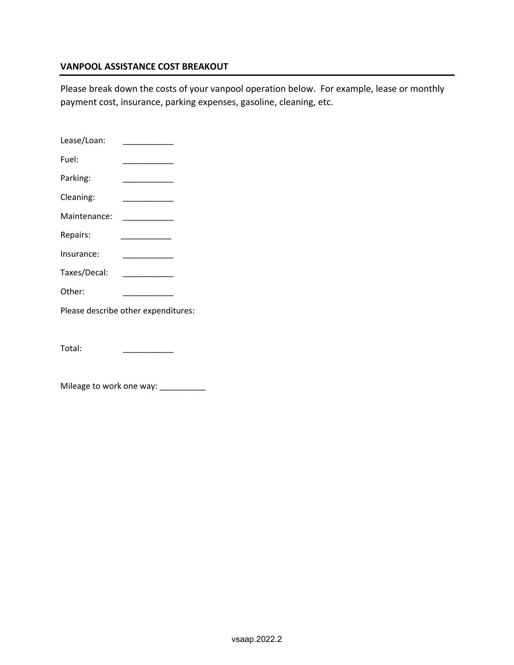## **VANPOOL ASSISTANCE COST BREAKOUT**

Please break down the costs of your vanpool operation below. For example, lease or monthly payment cost, insurance, parking expenses, gasoline, cleaning, etc.

| Lease/Loan:                         |  |  |
|-------------------------------------|--|--|
| Fuel:                               |  |  |
| Parking:                            |  |  |
| Cleaning:                           |  |  |
| Maintenance:                        |  |  |
| Repairs:                            |  |  |
| Insurance:                          |  |  |
| Taxes/Decal:                        |  |  |
| Other:                              |  |  |
| Please describe other expenditures: |  |  |
|                                     |  |  |

Total:

Mileage to work one way: \_\_\_\_\_\_\_\_\_\_\_